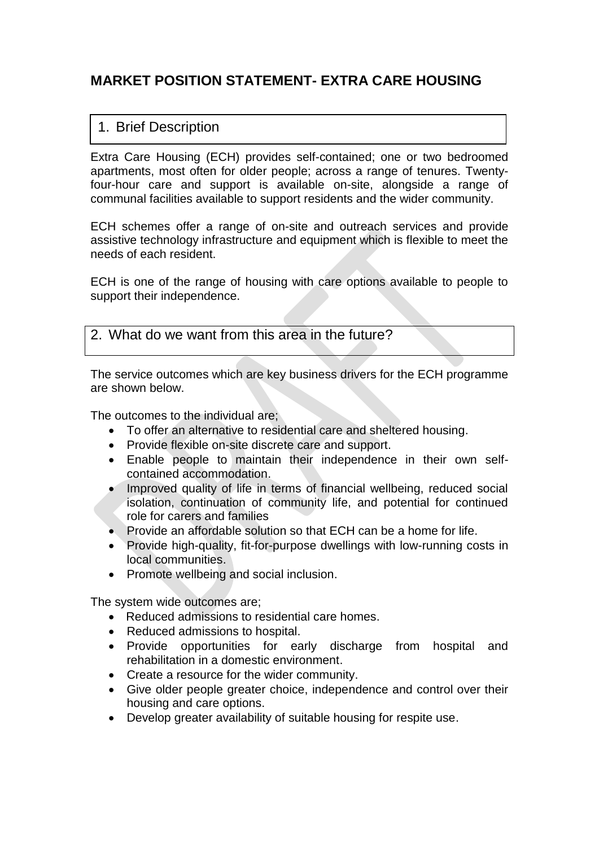# **MARKET POSITION STATEMENT- EXTRA CARE HOUSING**

## 1. Brief Description

Extra Care Housing (ECH) provides self-contained; one or two bedroomed apartments, most often for older people; across a range of tenures. Twentyfour-hour care and support is available on-site, alongside a range of communal facilities available to support residents and the wider community.

ECH schemes offer a range of on-site and outreach services and provide assistive technology infrastructure and equipment which is flexible to meet the needs of each resident.

ECH is one of the range of housing with care options available to people to support their independence.

#### 2. What do we want from this area in the future?

The service outcomes which are key business drivers for the ECH programme are shown below.

The outcomes to the individual are;

- To offer an alternative to residential care and sheltered housing.
- Provide flexible on-site discrete care and support.
- Enable people to maintain their independence in their own selfcontained accommodation.
- Improved quality of life in terms of financial wellbeing, reduced social isolation, continuation of community life, and potential for continued role for carers and families
- Provide an affordable solution so that ECH can be a home for life.
- Provide high-quality, fit-for-purpose dwellings with low-running costs in local communities.
- Promote wellbeing and social inclusion.

The system wide outcomes are;

- Reduced admissions to residential care homes.
- Reduced admissions to hospital.
- Provide opportunities for early discharge from hospital and rehabilitation in a domestic environment.
- Create a resource for the wider community.
- Give older people greater choice, independence and control over their housing and care options.
- Develop greater availability of suitable housing for respite use.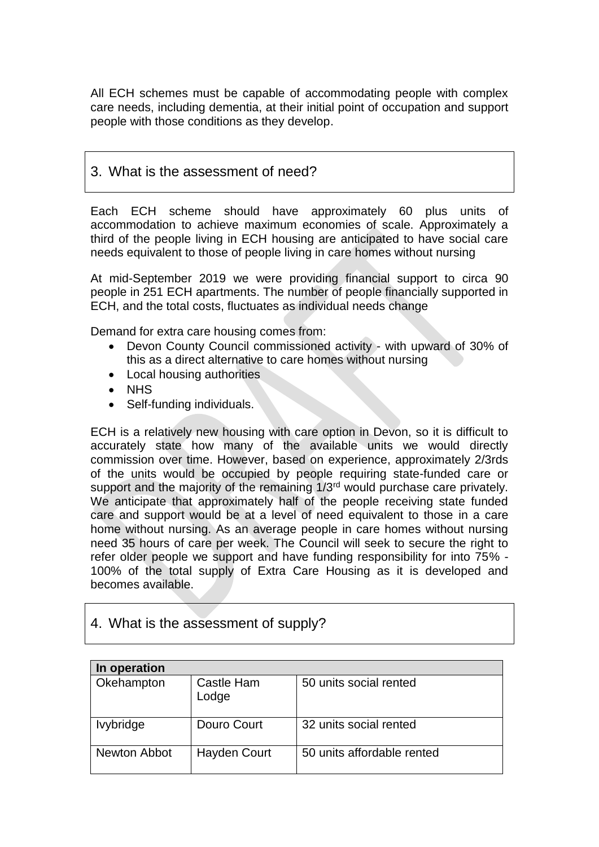All ECH schemes must be capable of accommodating people with complex care needs, including dementia, at their initial point of occupation and support people with those conditions as they develop.

#### 3. What is the assessment of need?

Each ECH scheme should have approximately 60 plus units of accommodation to achieve maximum economies of scale. Approximately a third of the people living in ECH housing are anticipated to have social care needs equivalent to those of people living in care homes without nursing

At mid-September 2019 we were providing financial support to circa 90 people in 251 ECH apartments. The number of people financially supported in ECH, and the total costs, fluctuates as individual needs change

Demand for extra care housing comes from:

- Devon County Council commissioned activity with upward of 30% of this as a direct alternative to care homes without nursing
- Local housing authorities
- NHS
- Self-funding individuals.

ECH is a relatively new housing with care option in Devon, so it is difficult to accurately state how many of the available units we would directly commission over time. However, based on experience, approximately 2/3rds of the units would be occupied by people requiring state-funded care or support and the majority of the remaining 1/3<sup>rd</sup> would purchase care privately. We anticipate that approximately half of the people receiving state funded care and support would be at a level of need equivalent to those in a care home without nursing. As an average people in care homes without nursing need 35 hours of care per week. The Council will seek to secure the right to refer older people we support and have funding responsibility for into 75% - 100% of the total supply of Extra Care Housing as it is developed and becomes available.

### 4. What is the assessment of supply?

| In operation        |                     |                            |  |  |  |
|---------------------|---------------------|----------------------------|--|--|--|
| Okehampton          | Castle Ham<br>Lodge | 50 units social rented     |  |  |  |
| <b>Ivybridge</b>    | Douro Court         | 32 units social rented     |  |  |  |
| <b>Newton Abbot</b> | Hayden Court        | 50 units affordable rented |  |  |  |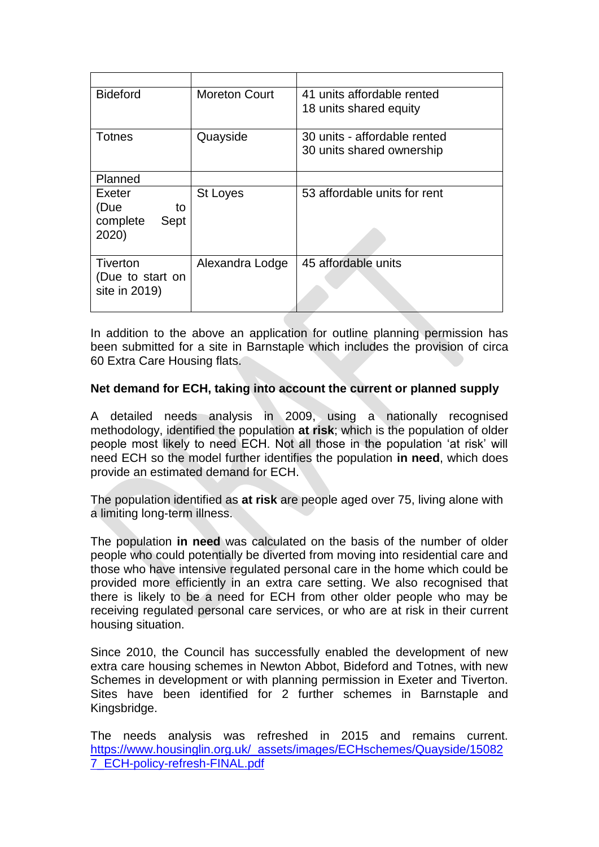| <b>Bideford</b>                                   | <b>Moreton Court</b> | 41 units affordable rented<br>18 units shared equity      |  |
|---------------------------------------------------|----------------------|-----------------------------------------------------------|--|
| Totnes                                            | Quayside             | 30 units - affordable rented<br>30 units shared ownership |  |
| Planned                                           |                      |                                                           |  |
| Exeter<br>(Due<br>to<br>complete<br>Sept<br>2020) | St Loyes             | 53 affordable units for rent                              |  |
| Tiverton<br>(Due to start on<br>site in 2019)     | Alexandra Lodge      | 45 affordable units                                       |  |

In addition to the above an application for outline planning permission has been submitted for a site in Barnstaple which includes the provision of circa 60 Extra Care Housing flats.

#### **Net demand for ECH, taking into account the current or planned supply**

A detailed needs analysis in 2009, using a nationally recognised methodology, identified the population **at risk**; which is the population of older people most likely to need ECH. Not all those in the population 'at risk' will need ECH so the model further identifies the population **in need**, which does provide an estimated demand for ECH.

The population identified as **at risk** are people aged over 75, living alone with a limiting long-term illness.

The population **in need** was calculated on the basis of the number of older people who could potentially be diverted from moving into residential care and those who have intensive regulated personal care in the home which could be provided more efficiently in an extra care setting. We also recognised that there is likely to be a need for ECH from other older people who may be receiving regulated personal care services, or who are at risk in their current housing situation.

Since 2010, the Council has successfully enabled the development of new extra care housing schemes in Newton Abbot, Bideford and Totnes, with new Schemes in development or with planning permission in Exeter and Tiverton. Sites have been identified for 2 further schemes in Barnstaple and Kingsbridge.

The needs analysis was refreshed in 2015 and remains current. [https://www.housinglin.org.uk/\\_assets/images/ECHschemes/Quayside/15082](https://www.housinglin.org.uk/_assets/images/ECHschemes/Quayside/150827_ECH-policy-refresh-FINAL.pdf) [7\\_ECH-policy-refresh-FINAL.pdf](https://www.housinglin.org.uk/_assets/images/ECHschemes/Quayside/150827_ECH-policy-refresh-FINAL.pdf)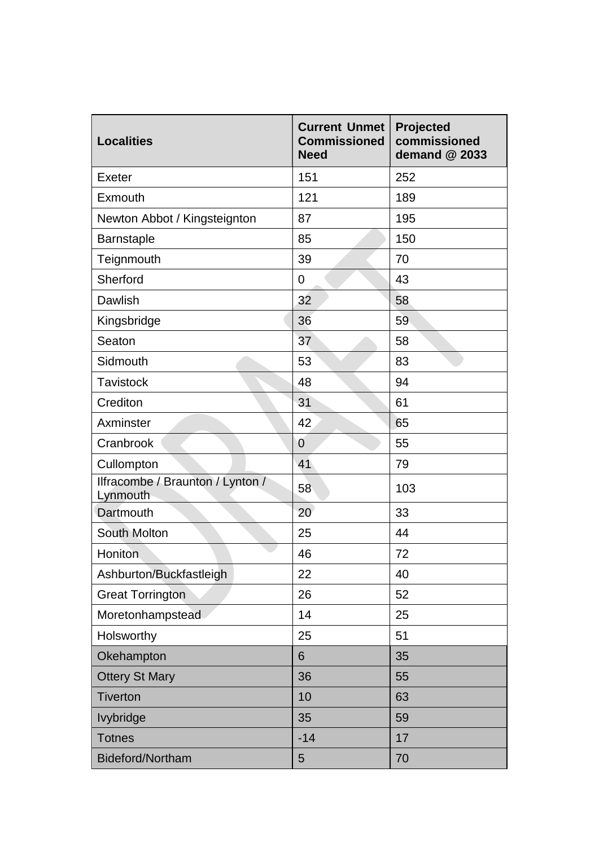| <b>Localities</b>                            | <b>Current Unmet</b><br><b>Commissioned</b><br><b>Need</b> | Projected<br>commissioned<br>demand @ 2033 |
|----------------------------------------------|------------------------------------------------------------|--------------------------------------------|
| Exeter                                       | 151                                                        | 252                                        |
| <b>Exmouth</b>                               | 121                                                        | 189                                        |
| Newton Abbot / Kingsteignton                 | 87                                                         | 195                                        |
| <b>Barnstaple</b>                            | 85                                                         | 150                                        |
| Teignmouth                                   | 39                                                         | 70                                         |
| Sherford                                     | 0                                                          | 43                                         |
| Dawlish                                      | 32                                                         | 58                                         |
| Kingsbridge                                  | 36                                                         | 59                                         |
| Seaton                                       | 37                                                         | 58                                         |
| Sidmouth                                     | 53                                                         | 83                                         |
| <b>Tavistock</b>                             | 48                                                         | 94                                         |
| Crediton                                     | 31                                                         | 61                                         |
| Axminster                                    | 42                                                         | 65                                         |
| Cranbrook                                    | $\overline{0}$                                             | 55                                         |
| Cullompton                                   | 41                                                         | 79                                         |
| Ilfracombe / Braunton / Lynton /<br>Lynmouth | 58                                                         | 103                                        |
| Dartmouth                                    | 20                                                         | 33                                         |
| <b>South Molton</b>                          | 25                                                         | 44                                         |
| Honiton                                      | 46                                                         | 72                                         |
| Ashburton/Buckfastleigh                      | 22                                                         | 40                                         |
| <b>Great Torrington</b>                      | 26                                                         | 52                                         |
| Moretonhampstead                             | 14                                                         | 25                                         |
| Holsworthy                                   | 25                                                         | 51                                         |
| Okehampton                                   | 6                                                          | 35                                         |
| <b>Ottery St Mary</b>                        | 36                                                         | 55                                         |
| <b>Tiverton</b>                              | 10                                                         | 63                                         |
| <b>lvybridge</b>                             | 35                                                         | 59                                         |
| <b>Totnes</b>                                | $-14$                                                      | 17                                         |
| Bideford/Northam                             | 5                                                          | 70                                         |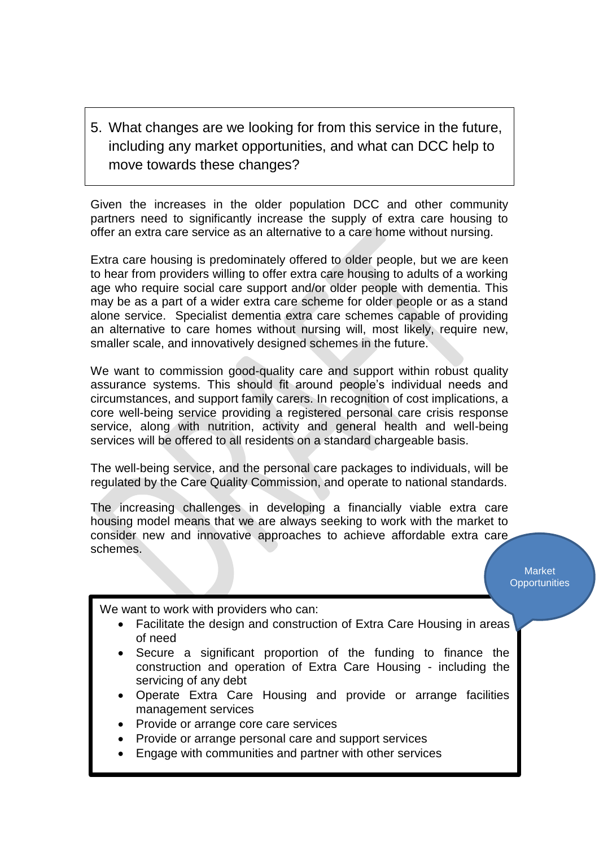5. What changes are we looking for from this service in the future, including any market opportunities, and what can DCC help to move towards these changes?

Given the increases in the older population DCC and other community partners need to significantly increase the supply of extra care housing to offer an extra care service as an alternative to a care home without nursing.

Extra care housing is predominately offered to older people, but we are keen to hear from providers willing to offer extra care housing to adults of a working age who require social care support and/or older people with dementia. This may be as a part of a wider extra care scheme for older people or as a stand alone service. Specialist dementia extra care schemes capable of providing an alternative to care homes without nursing will, most likely, require new, smaller scale, and innovatively designed schemes in the future.

We want to commission good-quality care and support within robust quality assurance systems. This should fit around people's individual needs and circumstances, and support family carers. In recognition of cost implications, a core well-being service providing a registered personal care crisis response service, along with nutrition, activity and general health and well-being services will be offered to all residents on a standard chargeable basis.

The well-being service, and the personal care packages to individuals, will be regulated by the Care Quality Commission, and operate to national standards.

The increasing challenges in developing a financially viable extra care housing model means that we are always seeking to work with the market to consider new and innovative approaches to achieve affordable extra care schemes.

> Market **Opportunities**

We want to work with providers who can:

- Facilitate the design and construction of Extra Care Housing in areas of need
- Secure a significant proportion of the funding to finance the construction and operation of Extra Care Housing - including the servicing of any debt
- Operate Extra Care Housing and provide or arrange facilities management services
- Provide or arrange core care services
- Provide or arrange personal care and support services
- Engage with communities and partner with other services